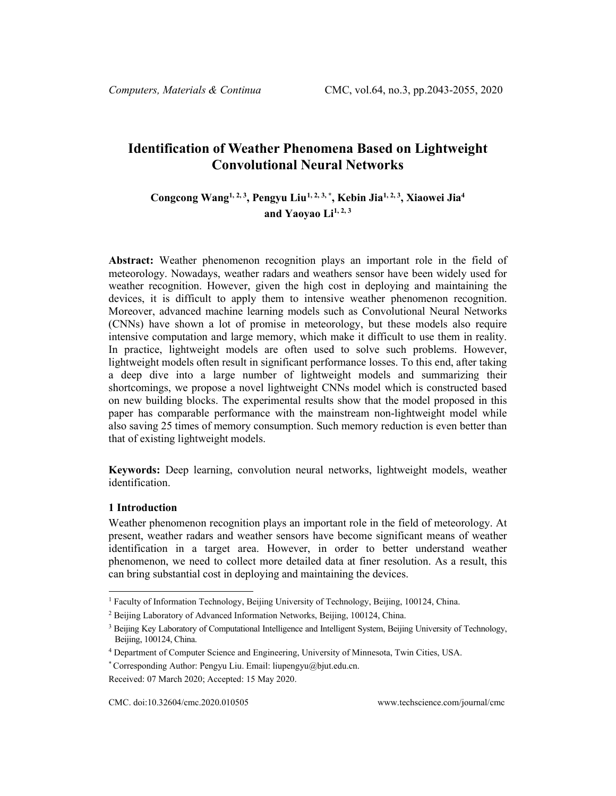# **Identification of Weather Phenomena Based on Lightweight Convolutional Neural Networks**

# **Congcong Wang1, 2, <sup>3</sup> , Pengyu Liu[1,](#page-0-0) 2, 3, \* , Kebin Jia1, 2, <sup>3</sup> , Xiaowei Jia4** and Yaovao  $Li<sup>1, 2, 3</sup>$

**Abstract:** Weather phenomenon recognition plays an important role in the field of meteorology. Nowadays, weather radars and weathers sensor have been widely used for weather recognition. However, given the high cost in deploying and maintaining the devices, it is difficult to apply them to intensive weather phenomenon recognition. Moreover, advanced machine learning models such as Convolutional Neural Networks (CNNs) have shown a lot of promise in meteorology, but these models also require intensive computation and large memory, which make it difficult to use them in reality. In practice, lightweight models are often used to solve such problems. However, lightweight models often result in significant performance losses. To this end, after taking a deep dive into a large number of lightweight models and summarizing their shortcomings, we propose a novel lightweight CNNs model which is constructed based on new building blocks. The experimental results show that the model proposed in this paper has comparable performance with the mainstream non-lightweight model while also saving 25 times of memory consumption. Such memory reduction is even better than that of existing lightweight models.

**Keywords:** Deep learning, convolution neural networks, lightweight models, weather identification.

# **1 Introduction**

Weather phenomenon recognition plays an important role in the field of meteorology. At present, weather radars and weather sensors have become significant means of weather identification in a target area. However, in order to better understand weather phenomenon, we need to collect more detailed data at finer resolution. As a result, this can bring substantial cost in deploying and maintaining the devices.

<span id="page-0-0"></span><sup>1</sup> Faculty of Information Technology, Beijing University of Technology, Beijing, 100124, China.

 $2$  Beijing Laboratory of Advanced Information Networks, Beijing, 100124, China.

<sup>&</sup>lt;sup>3</sup> Beijing Key Laboratory of Computational Intelligence and Intelligent System, Beijing University of Technology, Beijing, 100124, China.

<sup>4</sup> Department of Computer Science and Engineering, University of Minnesota, Twin Cities, USA.

<sup>\*</sup> Corresponding Author: Pengyu Liu. Email: liupengyu@bjut.edu.cn.

Received: 07 March 2020; Accepted: 15 May 2020.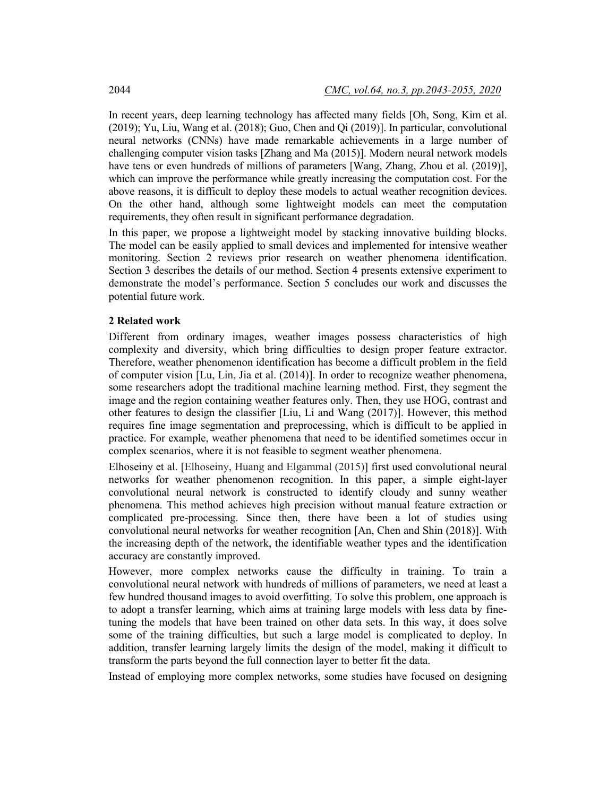In recent years, deep learning technology has affected many fields [Oh, Song, Kim et al. (2019); Yu, Liu, Wang et al. (2018); Guo, Chen and Qi (2019)]. In particular, convolutional neural networks (CNNs) have made remarkable achievements in a large number of challenging computer vision tasks [Zhang and Ma (2015)]. Modern neural network models have tens or even hundreds of millions of parameters [Wang, Zhang, Zhou et al. (2019)], which can improve the performance while greatly increasing the computation cost. For the above reasons, it is difficult to deploy these models to actual weather recognition devices. On the other hand, although some lightweight models can meet the computation requirements, they often result in significant performance degradation.

In this paper, we propose a lightweight model by stacking innovative building blocks. The model can be easily applied to small devices and implemented for intensive weather monitoring. Section 2 reviews prior research on weather phenomena identification. Section 3 describes the details of our method. Section 4 presents extensive experiment to demonstrate the model's performance. Section 5 concludes our work and discusses the potential future work.

### **2 Related work**

Different from ordinary images, weather images possess characteristics of high complexity and diversity, which bring difficulties to design proper feature extractor. Therefore, weather phenomenon identification has become a difficult problem in the field of computer vision [Lu, Lin, Jia et al. (2014)]. In order to recognize weather phenomena, some researchers adopt the traditional machine learning method. First, they segment the image and the region containing weather features only. Then, they use HOG, contrast and other features to design the classifier [Liu, Li and Wang (2017)]. However, this method requires fine image segmentation and preprocessing, which is difficult to be applied in practice. For example, weather phenomena that need to be identified sometimes occur in complex scenarios, where it is not feasible to segment weather phenomena.

Elhoseiny et al. [Elhoseiny, Huang and Elgammal (2015)] first used convolutional neural networks for weather phenomenon recognition. In this paper, a simple eight-layer convolutional neural network is constructed to identify cloudy and sunny weather phenomena. This method achieves high precision without manual feature extraction or complicated pre-processing. Since then, there have been a lot of studies using convolutional neural networks for weather recognition [An, Chen and Shin (2018)]. With the increasing depth of the network, the identifiable weather types and the identification accuracy are constantly improved.

However, more complex networks cause the difficulty in training. To train a convolutional neural network with hundreds of millions of parameters, we need at least a few hundred thousand images to avoid overfitting. To solve this problem, one approach is to adopt a transfer learning, which aims at training large models with less data by finetuning the models that have been trained on other data sets. In this way, it does solve some of the training difficulties, but such a large model is complicated to deploy. In addition, transfer learning largely limits the design of the model, making it difficult to transform the parts beyond the full connection layer to better fit the data.

Instead of employing more complex networks, some studies have focused on designing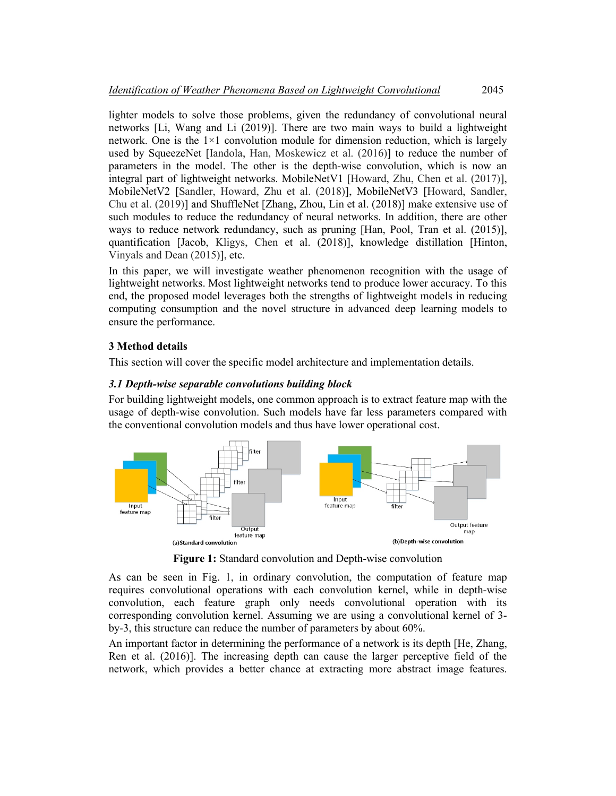lighter models to solve those problems, given the redundancy of convolutional neural networks [Li, Wang and Li (2019)]. There are two main ways to build a lightweight network. One is the  $1\times1$  convolution module for dimension reduction, which is largely used by SqueezeNet [Iandola, Han, Moskewicz et al. (2016)] to reduce the number of parameters in the model. The other is the depth-wise convolution, which is now an integral part of lightweight networks. MobileNetV1 [Howard, Zhu, Chen et al. (2017)], MobileNetV2 [Sandler, Howard, Zhu et al. (2018)], MobileNetV3 [Howard, Sandler, Chu et al. (2019)] and ShuffleNet [Zhang, Zhou, Lin et al. (2018)] make extensive use of such modules to reduce the redundancy of neural networks. In addition, there are other ways to reduce network redundancy, such as pruning [Han, Pool, Tran et al. (2015)], quantification [Jacob, Kligys, Chen et al. (2018)], knowledge distillation [Hinton, Vinyals and Dean (2015)], etc.

In this paper, we will investigate weather phenomenon recognition with the usage of lightweight networks. Most lightweight networks tend to produce lower accuracy. To this end, the proposed model leverages both the strengths of lightweight models in reducing computing consumption and the novel structure in advanced deep learning models to ensure the performance.

# **3 Method details**

This section will cover the specific model architecture and implementation details.

# *3.1 Depth-wise separable convolutions building block*

For building lightweight models, one common approach is to extract feature map with the usage of depth-wise convolution. Such models have far less parameters compared with the conventional convolution models and thus have lower operational cost.



**Figure 1:** Standard convolution and Depth-wise convolution

As can be seen in Fig. 1, in ordinary convolution, the computation of feature map requires convolutional operations with each convolution kernel, while in depth-wise convolution, each feature graph only needs convolutional operation with its corresponding convolution kernel. Assuming we are using a convolutional kernel of 3 by-3, this structure can reduce the number of parameters by about 60%.

An important factor in determining the performance of a network is its depth [He, Zhang, Ren et al. (2016)]. The increasing depth can cause the larger perceptive field of the network, which provides a better chance at extracting more abstract image features.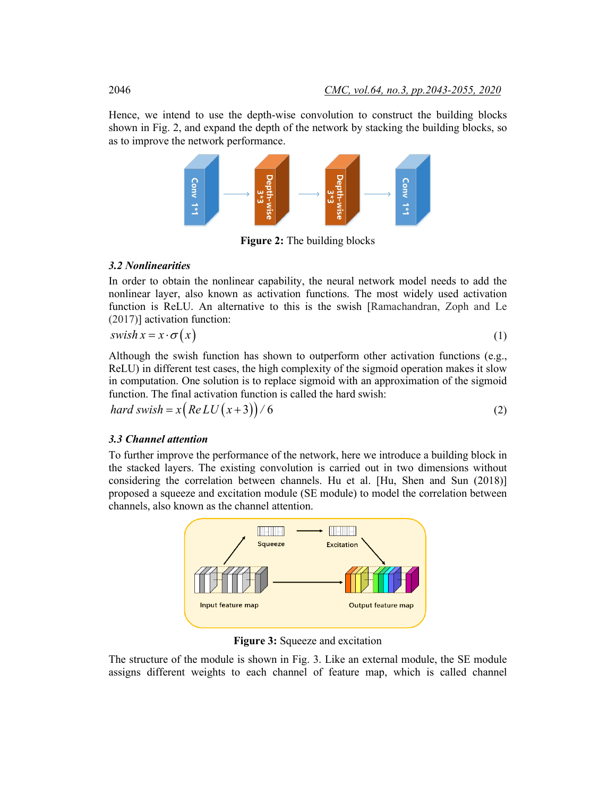Hence, we intend to use the depth-wise convolution to construct the building blocks shown in Fig. 2, and expand the depth of the network by stacking the building blocks, so as to improve the network performance.



**Figure 2:** The building blocks

# *3.2 Nonlinearities*

In order to obtain the nonlinear capability, the neural network model needs to add the nonlinear layer, also known as activation functions. The most widely used activation function is ReLU. An alternative to this is the swish [Ramachandran, Zoph and Le (2017)] activation function:

$$
swish\, x = x \cdot \sigma\big(x\big) \tag{1}
$$

Although the swish function has shown to outperform other activation functions (e.g., ReLU) in different test cases, the high complexity of the sigmoid operation makes it slow in computation. One solution is to replace sigmoid with an approximation of the sigmoid function. The final activation function is called the hard swish:

$$
hard \, swish = x \big( Re\,LU\big(x+3\big)\big) / 6 \tag{2}
$$

### *3.3 Channel attention*

To further improve the performance of the network, here we introduce a building block in the stacked layers. The existing convolution is carried out in two dimensions without considering the correlation between channels. Hu et al. [Hu, Shen and Sun (2018)] proposed a squeeze and excitation module (SE module) to model the correlation between channels, also known as the channel attention.



**Figure 3:** Squeeze and excitation

The structure of the module is shown in Fig. 3. Like an external module, the SE module assigns different weights to each channel of feature map, which is called channel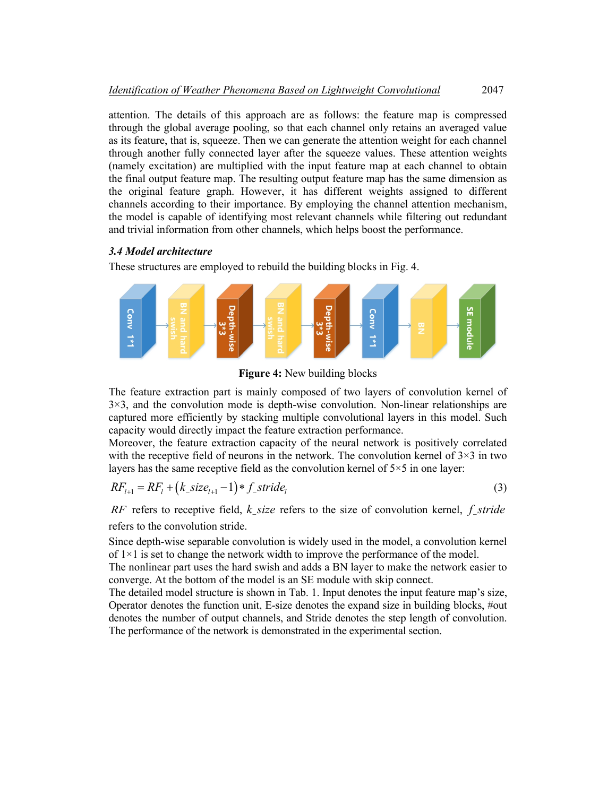attention. The details of this approach are as follows: the feature map is compressed through the global average pooling, so that each channel only retains an averaged value as its feature, that is, squeeze. Then we can generate the attention weight for each channel through another fully connected layer after the squeeze values. These attention weights (namely excitation) are multiplied with the input feature map at each channel to obtain the final output feature map. The resulting output feature map has the same dimension as the original feature graph. However, it has different weights assigned to different channels according to their importance. By employing the channel attention mechanism, the model is capable of identifying most relevant channels while filtering out redundant and trivial information from other channels, which helps boost the performance.

#### *3.4 Model architecture*

These structures are employed to rebuild the building blocks in Fig. 4.



**Figure 4:** New building blocks

The feature extraction part is mainly composed of two layers of convolution kernel of  $3\times3$ , and the convolution mode is depth-wise convolution. Non-linear relationships are captured more efficiently by stacking multiple convolutional layers in this model. Such capacity would directly impact the feature extraction performance.

Moreover, the feature extraction capacity of the neural network is positively correlated with the receptive field of neurons in the network. The convolution kernel of  $3\times3$  in two layers has the same receptive field as the convolution kernel of  $5\times 5$  in one layer:

$$
RF_{l+1} = RF_l + (k\_size_{l+1} - 1) * f\_stride_l
$$
\n(3)

*RF* refers to receptive field, *k size* refers to the size of convolution kernel, *f stride* refers to the convolution stride.

Since depth-wise separable convolution is widely used in the model, a convolution kernel of  $1\times1$  is set to change the network width to improve the performance of the model.

The nonlinear part uses the hard swish and adds a BN layer to make the network easier to converge. At the bottom of the model is an SE module with skip connect.

The detailed model structure is shown in Tab. 1. Input denotes the input feature map's size, Operator denotes the function unit, E-size denotes the expand size in building blocks, #out denotes the number of output channels, and Stride denotes the step length of convolution. The performance of the network is demonstrated in the experimental section.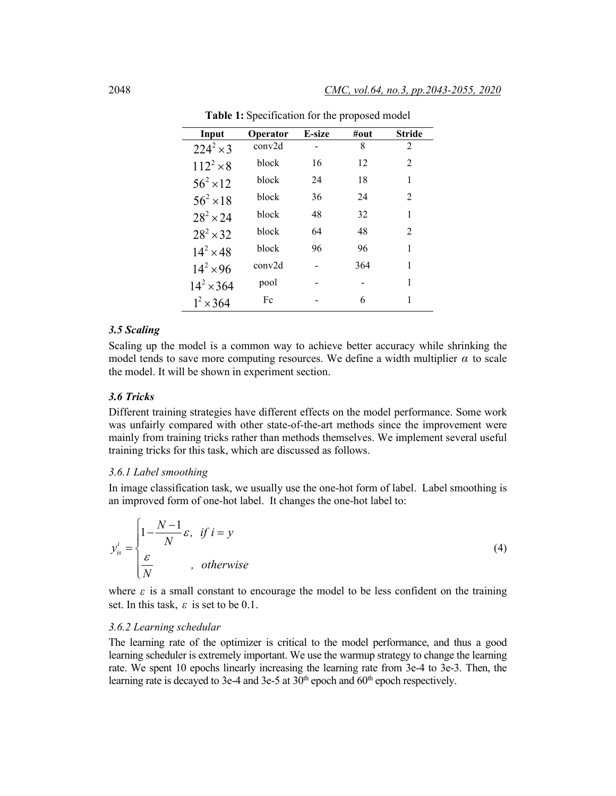| Input               | Operator     | E-size | $\#$ out | <b>Stride</b>  |
|---------------------|--------------|--------|----------|----------------|
| $224^2 \times 3$    | conv2d       |        | 8        | 2              |
| $112^2 \times 8$    | <b>block</b> | 16     | 12       | 2              |
| $56^2 \times 12$    | block        | 24     | 18       | 1              |
| $56^{2} \times 18$  | block        | 36     | 24       | 2              |
| $28^2 \times 24$    | block        | 48     | 32       | 1              |
| $28^{2} \times 32$  | block        | 64     | 48       | $\mathfrak{D}$ |
| $14^{2} \times 48$  | block        | 96     | 96       | 1              |
| $14^{2} \times 96$  | conv2d       |        | 364      | 1              |
| $14^{2} \times 364$ | pool         |        |          | 1              |
| $1^{2} \times 364$  | Fc           |        | 6        |                |

**Table 1:** Specification for the proposed model

### *3.5 Scaling*

Scaling up the model is a common way to achieve better accuracy while shrinking the model tends to save more computing resources. We define a width multiplier  $\alpha$  to scale the model. It will be shown in experiment section.

#### *3.6 Tricks*

Different training strategies have different effects on the model performance. Some work was unfairly compared with other state-of-the-art methods since the improvement were mainly from training tricks rather than methods themselves. We implement several useful training tricks for this task, which are discussed as follows.

#### *3.6.1 Label smoothing*

In image classification task, we usually use the one-hot form of label. Label smoothing is an improved form of one-hot label. It changes the one-hot label to:

$$
y_{is}^{i} = \begin{cases} 1 - \frac{N-1}{N} \varepsilon, & if \ i = y \\ \frac{\varepsilon}{N} & , \ otherwise \end{cases}
$$
 (4)

where  $\varepsilon$  is a small constant to encourage the model to be less confident on the training set. In this task,  $\varepsilon$  is set to be 0.1.

#### *3.6.2 Learning schedular*

The learning rate of the optimizer is critical to the model performance, and thus a good learning scheduler is extremely important. We use the warmup strategy to change the learning rate. We spent 10 epochs linearly increasing the learning rate from 3e-4 to 3e-3. Then, the learning rate is decayed to 3e-4 and 3e-5 at  $30<sup>th</sup>$  epoch and  $60<sup>th</sup>$  epoch respectively.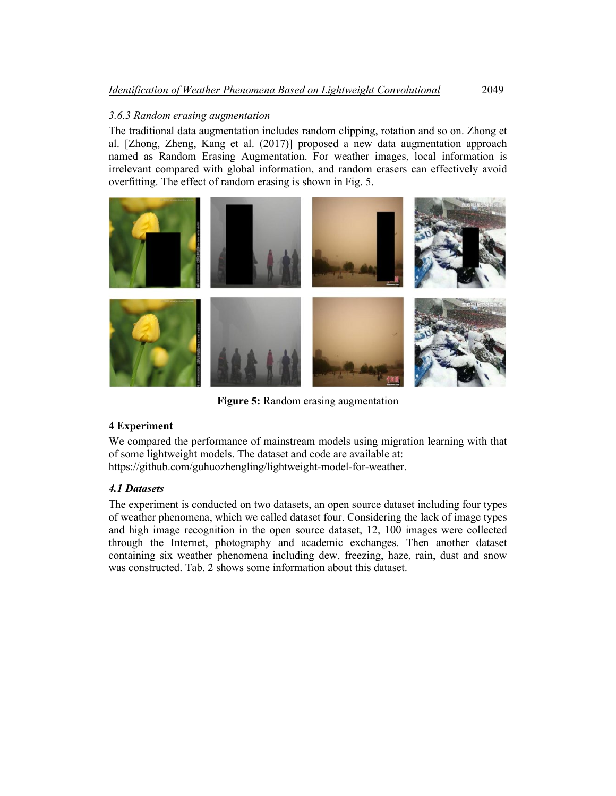# *3.6.3 Random erasing augmentation*

The traditional data augmentation includes random clipping, rotation and so on. Zhong et al. [Zhong, Zheng, Kang et al. (2017)] proposed a new data augmentation approach named as Random Erasing Augmentation. For weather images, local information is irrelevant compared with global information, and random erasers can effectively avoid overfitting. The effect of random erasing is shown in Fig. 5.



**Figure 5:** Random erasing augmentation

# **4 Experiment**

We compared the performance of mainstream models using migration learning with that of some lightweight models. The dataset and code are available at: https://github.com/guhuozhengling/lightweight-model-for-weather.

# *4.1 Datasets*

The experiment is conducted on two datasets, an open source dataset including four types of weather phenomena, which we called dataset four. Considering the lack of image types and high image recognition in the open source dataset, 12, 100 images were collected through the Internet, photography and academic exchanges. Then another dataset containing six weather phenomena including dew, freezing, haze, rain, dust and snow was constructed. Tab. 2 shows some information about this dataset.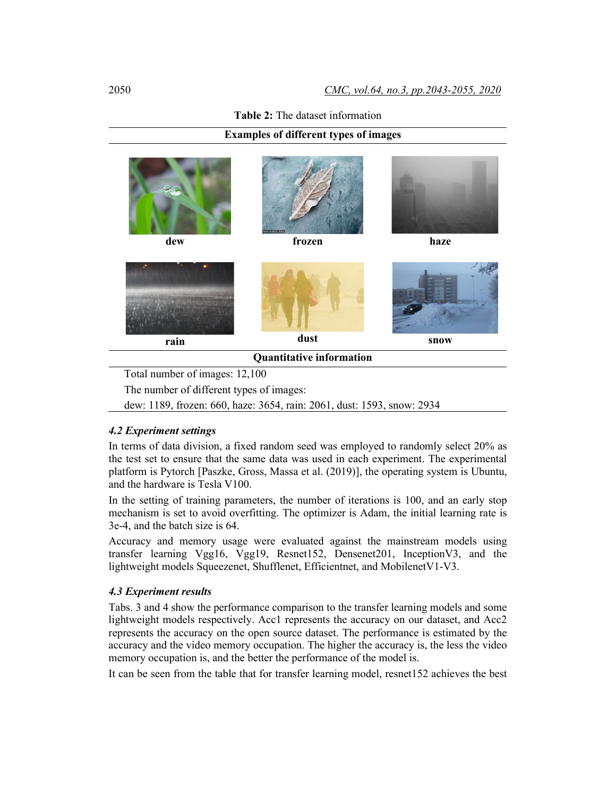### **Table 2:** The dataset information

## **Examples of different types of images**



dew: 1189, frozen: 660, haze: 3654, rain: 2061, dust: 1593, snow: 2934

## *4.2 Experiment settings*

In terms of data division, a fixed random seed was employed to randomly select 20% as the test set to ensure that the same data was used in each experiment. The experimental platform is Pytorch [Paszke, Gross, Massa et al. (2019)], the operating system is Ubuntu, and the hardware is Tesla V100.

In the setting of training parameters, the number of iterations is 100, and an early stop mechanism is set to avoid overfitting. The optimizer is Adam, the initial learning rate is 3e-4, and the batch size is 64.

Accuracy and memory usage were evaluated against the mainstream models using transfer learning Vgg16, Vgg19, Resnet152, Densenet201, InceptionV3, and the lightweight models Squeezenet, Shufflenet, Efficientnet, and MobilenetV1-V3.

#### *4.3 Experiment results*

Tabs. 3 and 4 show the performance comparison to the transfer learning models and some lightweight models respectively. Acc1 represents the accuracy on our dataset, and Acc2 represents the accuracy on the open source dataset. The performance is estimated by the accuracy and the video memory occupation. The higher the accuracy is, the less the video memory occupation is, and the better the performance of the model is.

It can be seen from the table that for transfer learning model, resnet152 achieves the best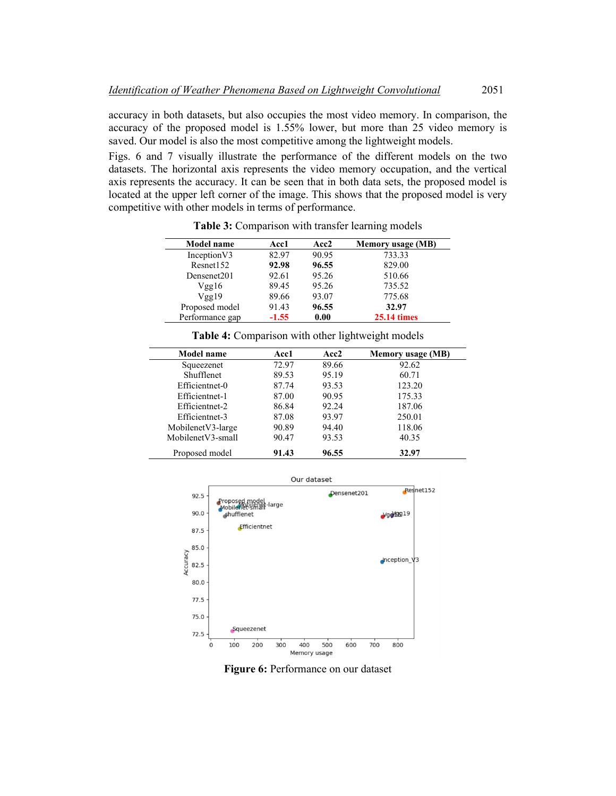accuracy in both datasets, but also occupies the most video memory. In comparison, the accuracy of the proposed model is 1.55% lower, but more than 25 video memory is saved. Our model is also the most competitive among the lightweight models.

Figs. 6 and 7 visually illustrate the performance of the different models on the two datasets. The horizontal axis represents the video memory occupation, and the vertical axis represents the accuracy. It can be seen that in both data sets, the proposed model is located at the upper left corner of the image. This shows that the proposed model is very competitive with other models in terms of performance.

| Model name      | <b>Acc1</b> | Acc2  | <b>Memory usage (MB)</b> |
|-----------------|-------------|-------|--------------------------|
| Inception V3    | 82.97       | 90.95 | 733.33                   |
| Resnet152       | 92.98       | 96.55 | 829.00                   |
| Densenet201     | 92.61       | 95.26 | 510.66                   |
| Vgg16           | 89.45       | 95.26 | 735.52                   |
| Vgg19           | 89.66       | 93.07 | 775.68                   |
| Proposed model  | 91.43       | 96.55 | 32.97                    |
| Performance gap | $-1.55$     | 0.00  | <b>25.14 times</b>       |

Table 3: Comparison with transfer learning models

| Model name        | Acc1  | Acc2  | <b>Memory usage (MB)</b> |
|-------------------|-------|-------|--------------------------|
| Squeezenet        | 72.97 | 89.66 | 92.62                    |
| <b>Shufflenet</b> | 89.53 | 95.19 | 60.71                    |
| Efficientnet-0    | 87.74 | 93.53 | 123.20                   |
| Efficientnet-1    | 87.00 | 90.95 | 175.33                   |
| Efficientnet-2    | 86.84 | 92.24 | 187.06                   |
| Efficientnet-3    | 87.08 | 93.97 | 250.01                   |
| MobilenetV3-large | 90.89 | 94.40 | 118.06                   |
| MobilenetV3-small | 90.47 | 93.53 | 40.35                    |
| Proposed model    | 91.43 | 96.55 | 32.97                    |

**Table 4:** Comparison with other lightweight models



**Figure 6:** Performance on our dataset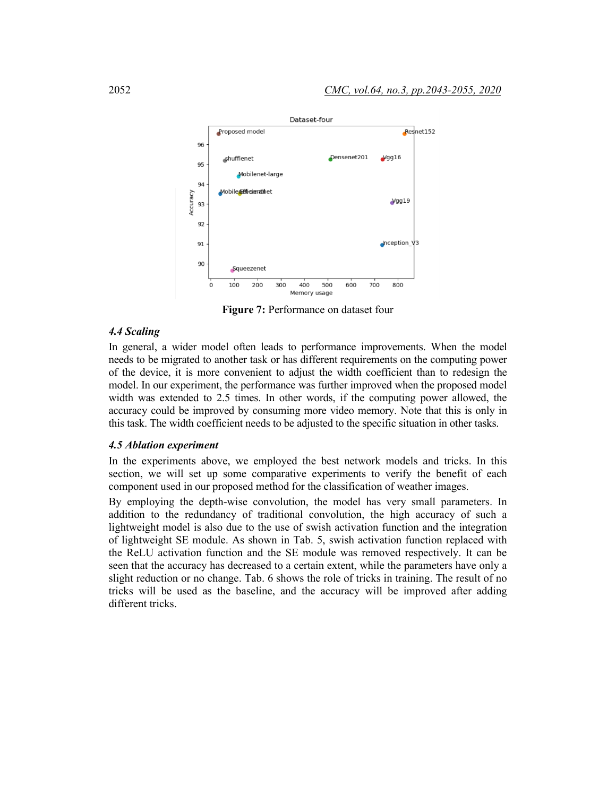

**Figure 7:** Performance on dataset four

# *4.4 Scaling*

In general, a wider model often leads to performance improvements. When the model needs to be migrated to another task or has different requirements on the computing power of the device, it is more convenient to adjust the width coefficient than to redesign the model. In our experiment, the performance was further improved when the proposed model width was extended to 2.5 times. In other words, if the computing power allowed, the accuracy could be improved by consuming more video memory. Note that this is only in this task. The width coefficient needs to be adjusted to the specific situation in other tasks.

#### *4.5 Ablation experiment*

In the experiments above, we employed the best network models and tricks. In this section, we will set up some comparative experiments to verify the benefit of each component used in our proposed method for the classification of weather images.

By employing the depth-wise convolution, the model has very small parameters. In addition to the redundancy of traditional convolution, the high accuracy of such a lightweight model is also due to the use of swish activation function and the integration of lightweight SE module. As shown in Tab. 5, swish activation function replaced with the ReLU activation function and the SE module was removed respectively. It can be seen that the accuracy has decreased to a certain extent, while the parameters have only a slight reduction or no change. Tab. 6 shows the role of tricks in training. The result of no tricks will be used as the baseline, and the accuracy will be improved after adding different tricks.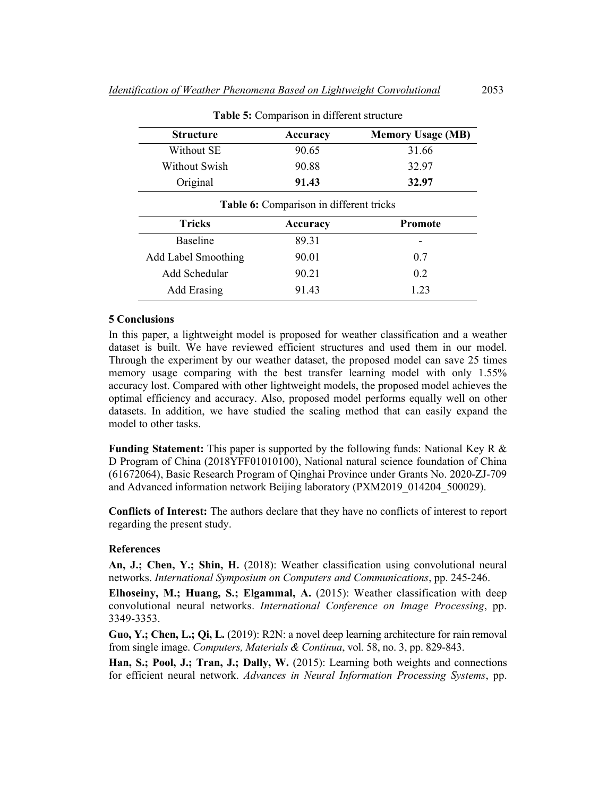| <b>Structure</b> | <b>Accuracy</b>                         | <b>Memory Usage (MB)</b> |
|------------------|-----------------------------------------|--------------------------|
| Without SE       | 90.65                                   | 31.66                    |
| Without Swish    | 90.88                                   | 32.97                    |
| Original         | 91.43                                   | 32.97                    |
|                  | Table 6: Comparison in different tricks |                          |
| Tricks           | Accuracy                                | <b>Promote</b>           |

Baseline 89.31 -

Add Label Smoothing 90.01 0.7 Add Schedular  $90.21$  0.2 Add Erasing 91.43 1.23

**Table 5:** Comparison in different structure

#### **5 Conclusions**

In this paper, a lightweight model is proposed for weather classification and a weather dataset is built. We have reviewed efficient structures and used them in our model. Through the experiment by our weather dataset, the proposed model can save 25 times memory usage comparing with the best transfer learning model with only 1.55% accuracy lost. Compared with other lightweight models, the proposed model achieves the optimal efficiency and accuracy. Also, proposed model performs equally well on other datasets. In addition, we have studied the scaling method that can easily expand the model to other tasks.

**Funding Statement:** This paper is supported by the following funds: National Key R & D Program of China (2018YFF01010100), National natural science foundation of China (61672064), Basic Research Program of Qinghai Province under Grants No. 2020-ZJ-709 and Advanced information network Beijing laboratory (PXM2019\_014204\_500029).

**Conflicts of Interest:** The authors declare that they have no conflicts of interest to report regarding the present study.

#### **References**

**An, J.; Chen, Y.; Shin, H.** (2018): Weather classification using convolutional neural networks. *International Symposium on Computers and Communications*, pp. 245-246.

**Elhoseiny, M.; Huang, S.; Elgammal, A.** (2015): Weather classification with deep convolutional neural networks. *International Conference on Image Processing*, pp. 3349-3353.

**Guo, Y.; Chen, L.; Qi, L.** (2019): R2N: a novel deep learning architecture for rain removal from single image. *Computers, Materials & Continua*, vol. 58, no. 3, pp. 829-843.

**Han, S.; Pool, J.; Tran, J.; Dally, W.** (2015): Learning both weights and connections for efficient neural network. *Advances in Neural Information Processing Systems*, pp.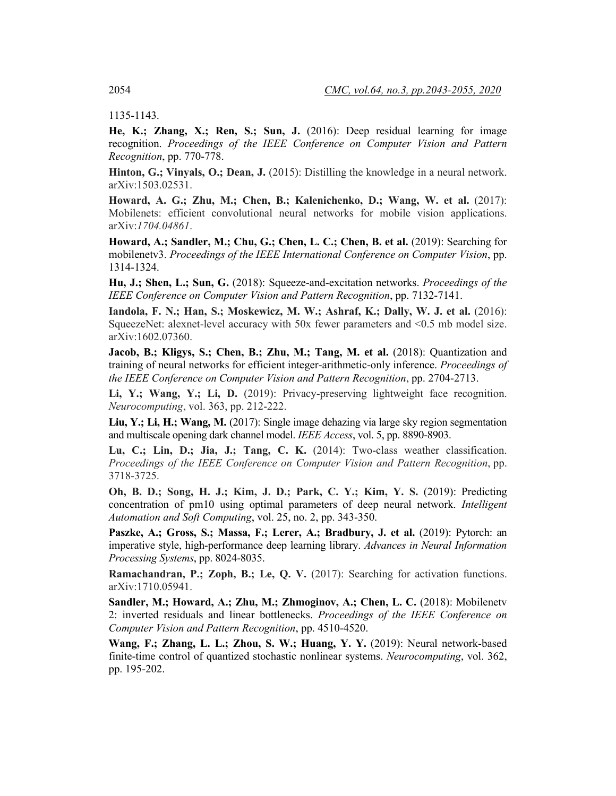1135-1143.

**He, K.; Zhang, X.; Ren, S.; Sun, J.** (2016): Deep residual learning for image recognition. *Proceedings of the IEEE Conference on Computer Vision and Pattern Recognition*, pp. 770-778.

**Hinton, G.; Vinyals, O.; Dean, J.** (2015): Distilling the knowledge in a neural network. arXiv:1503.02531.

**Howard, A. G.; Zhu, M.; Chen, B.; Kalenichenko, D.; Wang, W. et al.** (2017): Mobilenets: efficient convolutional neural networks for mobile vision applications. arXiv:*1704.04861*.

**Howard, A.; Sandler, M.; Chu, G.; Chen, L. C.; Chen, B. et al.** (2019): Searching for mobilenetv3. *Proceedings of the IEEE International Conference on Computer Vision*, pp. 1314-1324.

**Hu, J.; Shen, L.; Sun, G.** (2018): Squeeze-and-excitation networks. *Proceedings of the IEEE Conference on Computer Vision and Pattern Recognition*, pp. 7132-7141.

**Iandola, F. N.; Han, S.; Moskewicz, M. W.; Ashraf, K.; Dally, W. J. et al.** (2016): SqueezeNet: alexnet-level accuracy with 50x fewer parameters and <0.5 mb model size. arXiv:1602.07360.

**Jacob, B.; Kligys, S.; Chen, B.; Zhu, M.; Tang, M. et al.** (2018): Quantization and training of neural networks for efficient integer-arithmetic-only inference. *Proceedings of the IEEE Conference on Computer Vision and Pattern Recognition*, pp. 2704-2713.

**Li, Y.; Wang, Y.; Li, D.** (2019): Privacy-preserving lightweight face recognition. *Neurocomputing*, vol. 363, pp. 212-222.

Liu, Y.; Li, H.; Wang, M. (2017): Single image dehazing via large sky region segmentation and multiscale opening dark channel model. *IEEE Access*, vol. 5, pp. 8890-8903.

**Lu, C.; Lin, D.; Jia, J.; Tang, C. K.** (2014): Two-class weather classification. *Proceedings of the IEEE Conference on Computer Vision and Pattern Recognition*, pp. 3718-3725.

**Oh, B. D.; Song, H. J.; Kim, J. D.; Park, C. Y.; Kim, Y. S.** (2019): Predicting concentration of pm10 using optimal parameters of deep neural network. *Intelligent Automation and Soft Computing*, vol. 25, no. 2, pp. 343-350.

**Paszke, A.; Gross, S.; Massa, F.; Lerer, A.; Bradbury, J. et al.** (2019): Pytorch: an imperative style, high-performance deep learning library. *Advances in Neural Information Processing Systems*, pp. 8024-8035.

**Ramachandran, P.; Zoph, B.; Le, Q. V.** (2017): Searching for activation functions. arXiv:1710.05941.

**Sandler, M.; Howard, A.; Zhu, M.; Zhmoginov, A.; Chen, L. C.** (2018): Mobilenetv 2: inverted residuals and linear bottlenecks. *Proceedings of the IEEE Conference on Computer Vision and Pattern Recognition*, pp. 4510-4520.

**Wang, F.; Zhang, L. L.; Zhou, S. W.; Huang, Y. Y.** (2019): Neural network-based finite-time control of quantized stochastic nonlinear systems. *Neurocomputing*, vol. 362, pp. 195-202.